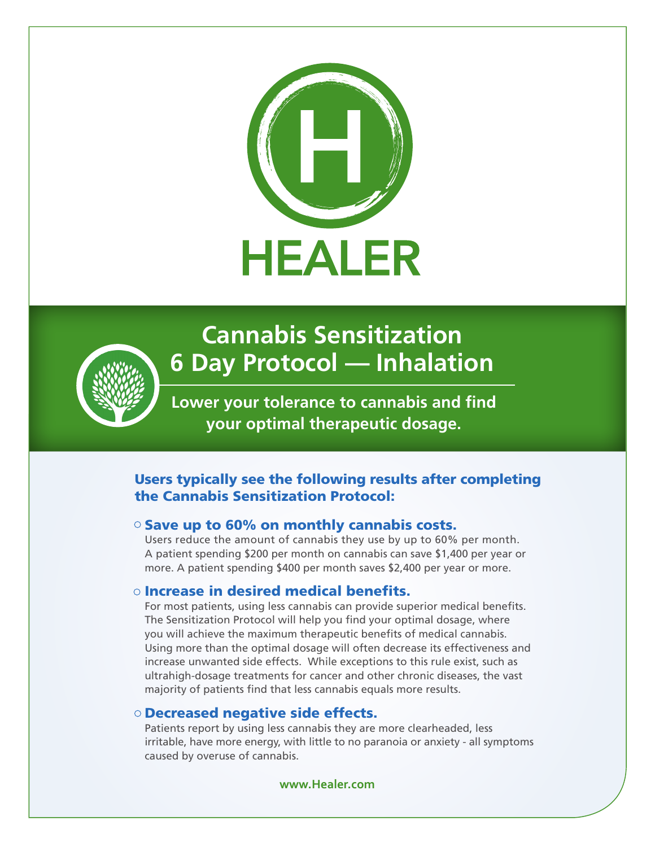



# **Cannabis Sensitization 6 Day Protocol — Inhalation**

**Lower your tolerance to cannabis and find your optimal therapeutic dosage.**

### Users typically see the following results after completing the Cannabis Sensitization Protocol:

### $\circ$  Save up to 60% on monthly cannabis costs.

Users reduce the amount of cannabis they use by up to 60% per month. A patient spending \$200 per month on cannabis can save \$1,400 per year or more. A patient spending \$400 per month saves \$2,400 per year or more.

### o Increase in desired medical benefits.

For most patients, using less cannabis can provide superior medical benefits. The Sensitization Protocol will help you find your optimal dosage, where you will achieve the maximum therapeutic benefits of medical cannabis. Using more than the optimal dosage will often decrease its effectiveness and increase unwanted side effects. While exceptions to this rule exist, such as ultrahigh-dosage treatments for cancer and other chronic diseases, the vast majority of patients find that less cannabis equals more results.

### Decreased negative side effects.

Patients report by using less cannabis they are more clearheaded, less irritable, have more energy, with little to no paranoia or anxiety - all symptoms caused by overuse of cannabis.

**www.Healer.com**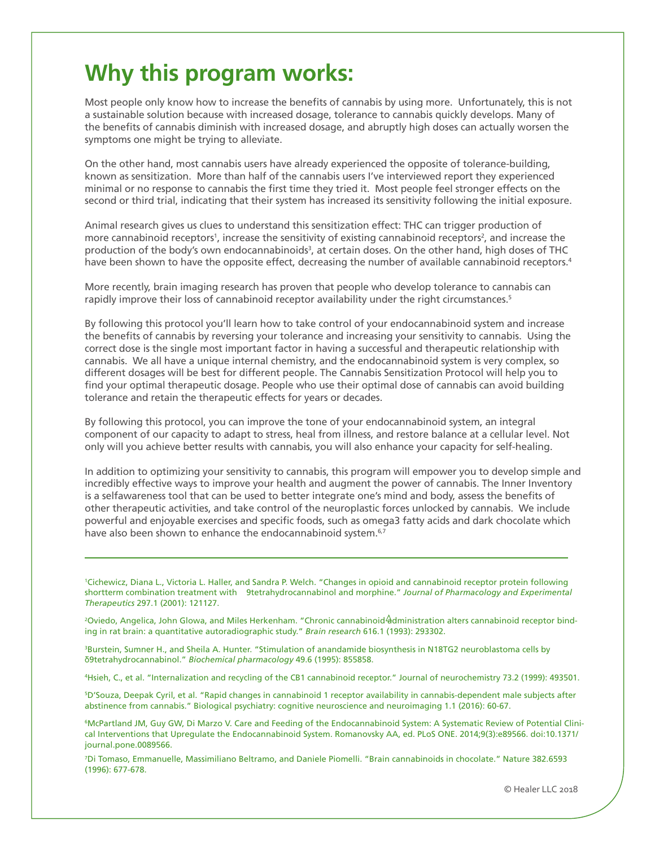## **Why this program works:**

Most people only know how to increase the benefits of cannabis by using more. Unfortunately, this is not a sustainable solution because with increased dosage, tolerance to cannabis quickly develops. Many of the benefits of cannabis diminish with increased dosage, and abruptly high doses can actually worsen the symptoms one might be trying to alleviate.

On the other hand, most cannabis users have already experienced the opposite of tolerance-building, known as sensitization. More than half of the cannabis users I've interviewed report they experienced minimal or no response to cannabis the first time they tried it. Most people feel stronger effects on the second or third trial, indicating that their system has increased its sensitivity following the initial exposure.

Animal research gives us clues to understand this sensitization effect: THC can trigger production of more cannabinoid receptors<sup>1</sup>, increase the sensitivity of existing cannabinoid receptors<sup>2</sup>, and increase the production of the body's own endocannabinoids<sup>3</sup>, at certain doses. On the other hand, high doses of THC have been shown to have the opposite effect, decreasing the number of available cannabinoid receptors.<sup>4</sup>

More recently, brain imaging research has proven that people who develop tolerance to cannabis can rapidly improve their loss of cannabinoid receptor availability under the right circumstances.<sup>5</sup>

By following this protocol you'll learn how to take control of your endocannabinoid system and increase the benefits of cannabis by reversing your tolerance and increasing your sensitivity to cannabis. Using the correct dose is the single most important factor in having a successful and therapeutic relationship with cannabis. We all have a unique internal chemistry, and the endocannabinoid system is very complex, so different dosages will be best for different people. The Cannabis Sensitization Protocol will help you to find your optimal therapeutic dosage. People who use their optimal dose of cannabis can avoid building tolerance and retain the therapeutic effects for years or decades.

By following this protocol, you can improve the tone of your endocannabinoid system, an integral component of our capacity to adapt to stress, heal from illness, and restore balance at a cellular level. Not only will you achieve better results with cannabis, you will also enhance your capacity for self-healing.

In addition to optimizing your sensitivity to cannabis, this program will empower you to develop simple and incredibly effective ways to improve your health and augment the power of cannabis. The Inner Inventory is a selfawareness tool that can be used to better integrate one's mind and body, assess the benefits of other therapeutic activities, and take control of the neuroplastic forces unlocked by cannabis. We include powerful and enjoyable exercises and specific foods, such as omega3 fatty acids and dark chocolate which have also been shown to enhance the endocannabinoid system.<sup>6,7</sup>

1 Cichewicz, Diana L., Victoria L. Haller, and Sandra P. Welch. "Changes in opioid and cannabinoid receptor protein following shortterm combination treatment with 9tetrahydrocannabinol and morphine." *Journal of Pharmacology and Experimental Therapeutics* 297.1 (2001): 121127.

<sup>2</sup>Oviedo, Angelica, John Glowa, and Miles Herkenham. "Chronic cannabinoid administration alters cannabinoid receptor binding in rat brain: a quantitative autoradiographic study." *Brain research* 616.1 (1993): 293302.

3 Burstein, Sumner H., and Sheila A. Hunter. "Stimulation of anandamide biosynthesis in N18TG2 neuroblastoma cells by δ9tetrahydrocannabinol." *Biochemical pharmacology* 49.6 (1995): 855858.

4 Hsieh, C., et al. "Internalization and recycling of the CB1 cannabinoid receptor." Journal of neurochemistry 73.2 (1999): 493501.

5 D'Souza, Deepak Cyril, et al. "Rapid changes in cannabinoid 1 receptor availability in cannabis-dependent male subjects after abstinence from cannabis." Biological psychiatry: cognitive neuroscience and neuroimaging 1.1 (2016): 60-67.

6 McPartland JM, Guy GW, Di Marzo V. Care and Feeding of the Endocannabinoid System: A Systematic Review of Potential Clinical Interventions that Upregulate the Endocannabinoid System. Romanovsky AA, ed. PLoS ONE. 2014;9(3):e89566. doi:10.1371/ journal.pone.0089566.

7 Di Tomaso, Emmanuelle, Massimiliano Beltramo, and Daniele Piomelli. "Brain cannabinoids in chocolate." Nature 382.6593 (1996): 677-678.

© Healer LLC 2018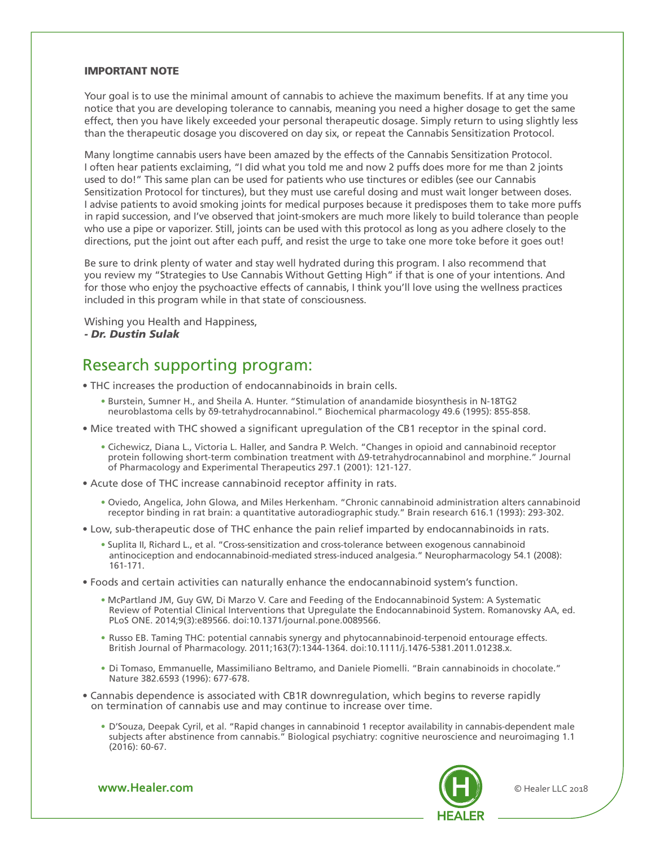#### IMPORTANT NOTE

Your goal is to use the minimal amount of cannabis to achieve the maximum benefits. If at any time you notice that you are developing tolerance to cannabis, meaning you need a higher dosage to get the same effect, then you have likely exceeded your personal therapeutic dosage. Simply return to using slightly less than the therapeutic dosage you discovered on day six, or repeat the Cannabis Sensitization Protocol.

Many longtime cannabis users have been amazed by the effects of the Cannabis Sensitization Protocol. I often hear patients exclaiming, "I did what you told me and now 2 puffs does more for me than 2 joints used to do!" This same plan can be used for patients who use tinctures or edibles (see our Cannabis Sensitization Protocol for tinctures), but they must use careful dosing and must wait longer between doses. I advise patients to avoid smoking joints for medical purposes because it predisposes them to take more puffs in rapid succession, and I've observed that joint-smokers are much more likely to build tolerance than people who use a pipe or vaporizer. Still, joints can be used with this protocol as long as you adhere closely to the directions, put the joint out after each puff, and resist the urge to take one more toke before it goes out!

Be sure to drink plenty of water and stay well hydrated during this program. I also recommend that you review my "Strategies to Use Cannabis Without Getting High" if that is one of your intentions. And for those who enjoy the psychoactive effects of cannabis, I think you'll love using the wellness practices included in this program while in that state of consciousness.

Wishing you Health and Happiness, *- Dr. Dustin Sulak*

### Research supporting program:

- THC increases the production of endocannabinoids in brain cells.
	- Burstein, Sumner H., and Sheila A. Hunter. "Stimulation of anandamide biosynthesis in N-18TG2 neuroblastoma cells by δ9-tetrahydrocannabinol." Biochemical pharmacology 49.6 (1995): 855-858.
- Mice treated with THC showed a significant upregulation of the CB1 receptor in the spinal cord.
	- Cichewicz, Diana L., Victoria L. Haller, and Sandra P. Welch. "Changes in opioid and cannabinoid receptor protein following short-term combination treatment with Δ9-tetrahydrocannabinol and morphine." Journal of Pharmacology and Experimental Therapeutics 297.1 (2001): 121-127.
- Acute dose of THC increase cannabinoid receptor affinity in rats.
	- Oviedo, Angelica, John Glowa, and Miles Herkenham. "Chronic cannabinoid administration alters cannabinoid receptor binding in rat brain: a quantitative autoradiographic study." Brain research 616.1 (1993): 293-302.
- Low, sub-therapeutic dose of THC enhance the pain relief imparted by endocannabinoids in rats.
	- Suplita II, Richard L., et al. "Cross-sensitization and cross-tolerance between exogenous cannabinoid antinociception and endocannabinoid-mediated stress-induced analgesia." Neuropharmacology 54.1 (2008): 161-171.
- Foods and certain activities can naturally enhance the endocannabinoid system's function.
	- McPartland JM, Guy GW, Di Marzo V. Care and Feeding of the Endocannabinoid System: A Systematic Review of Potential Clinical Interventions that Upregulate the Endocannabinoid System. Romanovsky AA, ed. PLoS ONE. 2014;9(3):e89566. doi:10.1371/journal.pone.0089566.
	- Russo EB. Taming THC: potential cannabis synergy and phytocannabinoid-terpenoid entourage effects. British Journal of Pharmacology. 2011;163(7):1344-1364. doi:10.1111/j.1476-5381.2011.01238.x.
	- Di Tomaso, Emmanuelle, Massimiliano Beltramo, and Daniele Piomelli. "Brain cannabinoids in chocolate." Nature 382.6593 (1996): 677-678.
- Cannabis dependence is associated with CB1R downregulation, which begins to reverse rapidly on termination of cannabis use and may continue to increase over time.
	- D'Souza, Deepak Cyril, et al. "Rapid changes in cannabinoid 1 receptor availability in cannabis-dependent male subjects after abstinence from cannabis." Biological psychiatry: cognitive neuroscience and neuroimaging 1.1 (2016): 60-67.



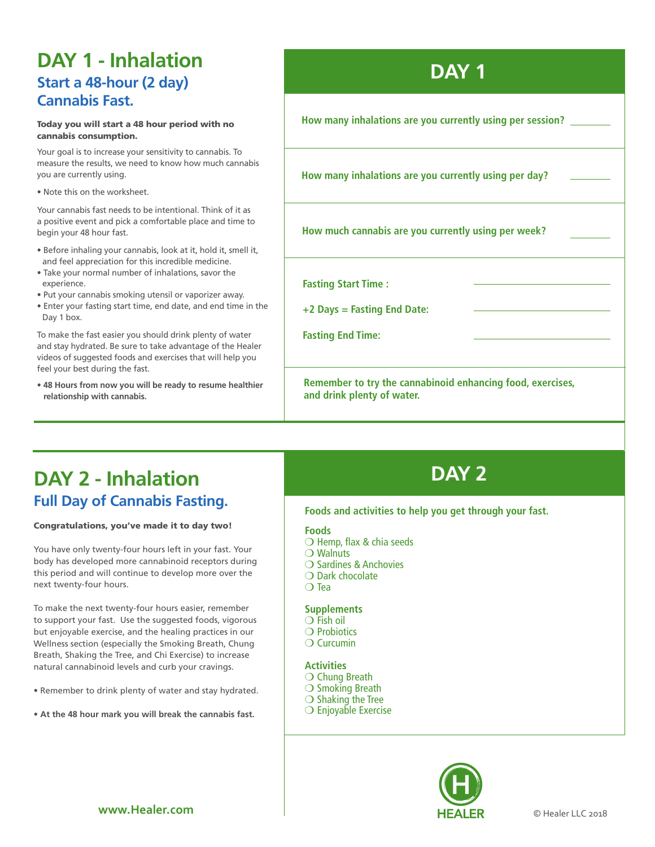## **DAY 1 - Inhalation Start a 48-hour (2 day) Cannabis Fast.**

#### Today you will start a 48 hour period with no cannabis consumption.

Your goal is to increase your sensitivity to cannabis. To measure the results, we need to know how much cannabis you are currently using.

• Note this on the worksheet.

Your cannabis fast needs to be intentional. Think of it as a positive event and pick a comfortable place and time to begin your 48 hour fast.

- Before inhaling your cannabis, look at it, hold it, smell it, and feel appreciation for this incredible medicine.
- Take your normal number of inhalations, savor the experience.
- Put your cannabis smoking utensil or vaporizer away.
- Enter your fasting start time, end date, and end time in the Day 1 box.

To make the fast easier you should drink plenty of water and stay hydrated. Be sure to take advantage of the Healer videos of suggested foods and exercises that will help you feel your best during the fast.

• **48 Hours from now you will be ready to resume healthier relationship with cannabis.**

## **DAY 1**

**How many inhalations are you currently using per session?**

**How many inhalations are you currently using per day?**

**How much cannabis are you currently using per week?**

**Fasting Start Time :** 

**+2 Days = Fasting End Date:**

**Fasting End Time:** 

**Remember to try the cannabinoid enhancing food, exercises, and drink plenty of water.** 

## **DAY 2 - Inhalation DAY 2 Full Day of Cannabis Fasting.**

#### Congratulations, you've made it to day two!

You have only twenty-four hours left in your fast. Your body has developed more cannabinoid receptors during this period and will continue to develop more over the next twenty-four hours.

To make the next twenty-four hours easier, remember to support your fast. Use the suggested foods, vigorous but enjoyable exercise, and the healing practices in our Wellness section (especially the Smoking Breath, Chung Breath, Shaking the Tree, and Chi Exercise) to increase natural cannabinoid levels and curb your cravings.

- Remember to drink plenty of water and stay hydrated.
- **At the 48 hour mark you will break the cannabis fast.**

### **Foods and activities to help you get through your fast.**

**Foods**

- $\bigcirc$  Hemp, flax & chia seeds
- $\bigcirc$  Walnuts
- $\bigcirc$  Sardines & Anchovies
- $\bigcirc$  Dark chocolate
- $\bigcirc$  Tea

### **Supplements**

- $\bigcirc$  Fish oil
- $\bigcirc$  Probiotics
- $\bigcirc$  Curcumin

#### **Activities**

- $\bigcirc$  Chung Breath
- $\bigcirc$  Smoking Breath
- $\bigcirc$  Shaking the Tree
- $\bigcirc$  Enjoyable Exercise

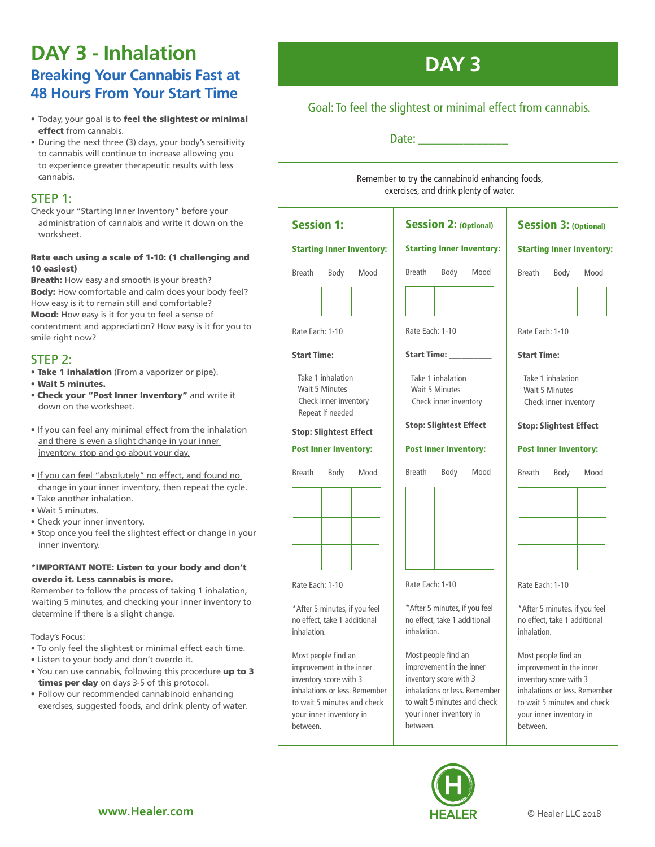## **DAY 3 - Inhalation Breaking Your Cannabis Fast at 48 Hours From Your Start Time**

- Today, your goal is to feel the slightest or minimal effect from cannabis.
- During the next three (3) days, your body's sensitivity to cannabis will continue to increase allowing you to experience greater therapeutic results with less cannabis.

### STEP 1:

Check your "Starting Inner Inventory" before your administration of cannabis and write it down on the worksheet.

#### Rate each using a scale of 1-10: (1 challenging and 10 easiest)

Breath: How easy and smooth is your breath? Body: How comfortable and calm does your body feel? How easy is it to remain still and comfortable? Mood: How easy is it for you to feel a sense of contentment and appreciation? How easy is it for you to smile right now?

### STEP 2:

- Take 1 inhalation (From a vaporizer or pipe).
- Wait 5 minutes.
- Check your "Post Inner Inventory" and write it down on the worksheet.
- If you can feel any minimal effect from the inhalation and there is even a slight change in your inner inventory, stop and go about your day.
- If you can feel "absolutely" no effect, and found no change in your inner inventory, then repeat the cycle.
- Take another inhalation.
- Wait 5 minutes.
- Check your inner inventory.
- Stop once you feel the slightest effect or change in your inner inventory.

#### \*IMPORTANT NOTE: Listen to your body and don't overdo it. Less cannabis is more.

Remember to follow the process of taking 1 inhalation, waiting 5 minutes, and checking your inner inventory to determine if there is a slight change.

Today's Focus:

- To only feel the slightest or minimal effect each time.
- Listen to your body and don't overdo it.
- You can use cannabis, following this procedure up to 3 times per day on days 3-5 of this protocol.
- Follow our recommended cannabinoid enhancing exercises, suggested foods, and drink plenty of water.

## **DAY 3**

### Goal: To feel the slightest or minimal effect from cannabis.

Date:  $\Box$ 

Remember to try the cannabinoid enhancing foods, exercises, and drink plenty of water.

| <b>Session 1:</b><br><b>Starting Inner Inventory:</b>                                                                                                                            |                              |      | <b>Session 2: (Optional)</b><br><b>Starting Inner Inventory:</b>                                                                                                                 |                              |      | <b>Session 3: (Optional)</b><br><b>Starting Inner Inventory:</b>                                                                                                                 |                              |      |
|----------------------------------------------------------------------------------------------------------------------------------------------------------------------------------|------------------------------|------|----------------------------------------------------------------------------------------------------------------------------------------------------------------------------------|------------------------------|------|----------------------------------------------------------------------------------------------------------------------------------------------------------------------------------|------------------------------|------|
|                                                                                                                                                                                  |                              |      |                                                                                                                                                                                  |                              |      |                                                                                                                                                                                  |                              |      |
|                                                                                                                                                                                  |                              |      |                                                                                                                                                                                  |                              |      |                                                                                                                                                                                  |                              |      |
| Rate Each: 1-10                                                                                                                                                                  |                              |      | Rate Each: 1-10                                                                                                                                                                  |                              |      | Rate Each: 1-10                                                                                                                                                                  |                              |      |
| Start Time:                                                                                                                                                                      |                              |      | Start Time: Name of Times                                                                                                                                                        |                              |      | <b>Start Time:</b>                                                                                                                                                               |                              |      |
| Take 1 inhalation<br><b>Wait 5 Minutes</b><br>Check inner inventory<br>Repeat if needed                                                                                          |                              |      | Take 1 inhalation<br><b>Wait 5 Minutes</b><br>Check inner inventory                                                                                                              |                              |      | Take 1 inhalation<br>Wait 5 Minutes<br>Check inner inventory                                                                                                                     |                              |      |
| <b>Stop: Slightest Effect</b>                                                                                                                                                    |                              |      | <b>Stop: Slightest Effect</b>                                                                                                                                                    |                              |      | <b>Stop: Slightest Effect</b>                                                                                                                                                    |                              |      |
|                                                                                                                                                                                  | <b>Post Inner Inventory:</b> |      |                                                                                                                                                                                  | <b>Post Inner Inventory:</b> |      |                                                                                                                                                                                  | <b>Post Inner Inventory:</b> |      |
| Breath                                                                                                                                                                           | Body                         | Mood | <b>Breath</b>                                                                                                                                                                    | Body                         | Mood | <b>Breath</b>                                                                                                                                                                    | Body                         | Mood |
|                                                                                                                                                                                  |                              |      |                                                                                                                                                                                  |                              |      |                                                                                                                                                                                  |                              |      |
|                                                                                                                                                                                  |                              |      |                                                                                                                                                                                  |                              |      |                                                                                                                                                                                  |                              |      |
| Rate Each: 1-10                                                                                                                                                                  |                              |      | Rate Each: 1-10                                                                                                                                                                  |                              |      | Rate Each: 1-10                                                                                                                                                                  |                              |      |
| *After 5 minutes, if you feel<br>no effect, take 1 additional<br>inhalation.                                                                                                     |                              |      | *After 5 minutes, if you feel<br>no effect, take 1 additional<br>inhalation.                                                                                                     |                              |      | *After 5 minutes, if you feel<br>no effect, take 1 additional<br>inhalation.                                                                                                     |                              |      |
| Most people find an<br>improvement in the inner<br>inventory score with 3<br>inhalations or less. Remember<br>to wait 5 minutes and check<br>your inner inventory in<br>between. |                              |      | Most people find an<br>improvement in the inner<br>inventory score with 3<br>inhalations or less. Remember<br>to wait 5 minutes and check<br>your inner inventory in<br>between. |                              |      | Most people find an<br>improvement in the inner<br>inventory score with 3<br>inhalations or less. Remember<br>to wait 5 minutes and check<br>your inner inventory in<br>between. |                              |      |

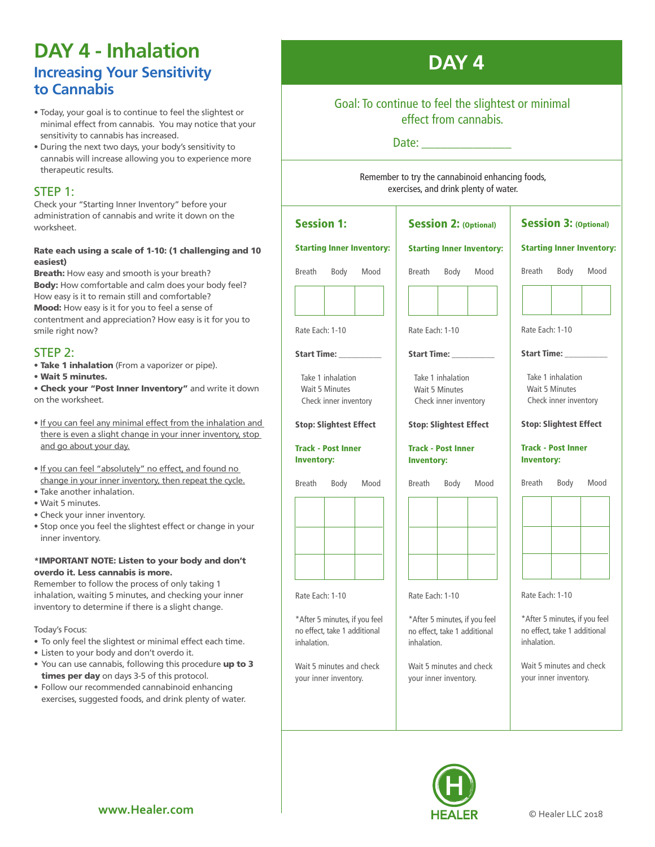## **DAY 4 - Inhalation Increasing Your Sensitivity to Cannabis**

- Today, your goal is to continue to feel the slightest or minimal effect from cannabis. You may notice that your sensitivity to cannabis has increased.
- During the next two days, your body's sensitivity to cannabis will increase allowing you to experience more therapeutic results.

### STEP 1:

Check your "Starting Inner Inventory" before your administration of cannabis and write it down on the worksheet.

### Rate each using a scale of 1-10: (1 challenging and 10 easiest)

Breath: How easy and smooth is your breath? Body: How comfortable and calm does your body feel? How easy is it to remain still and comfortable? Mood: How easy is it for you to feel a sense of contentment and appreciation? How easy is it for you to smile right now?

### STEP 2:

• Take 1 inhalation (From a vaporizer or pipe).

• Wait 5 minutes.

• Check your "Post Inner Inventory" and write it down on the worksheet.

- If you can feel any minimal effect from the inhalation and there is even a slight change in your inner inventory, stop and go about your day.
- If you can feel "absolutely" no effect, and found no change in your inner inventory, then repeat the cycle.
- Take another inhalation. • Wait 5 minutes.
- Check your inner inventory.
- Stop once you feel the slightest effect or change in your inner inventory.

#### \*IMPORTANT NOTE: Listen to your body and don't overdo it. Less cannabis is more.

Remember to follow the process of only taking 1 inhalation, waiting 5 minutes, and checking your inner inventory to determine if there is a slight change.

Today's Focus:

- To only feel the slightest or minimal effect each time.
- Listen to your body and don't overdo it.
- You can use cannabis, following this procedure up to 3 times per day on days 3-5 of this protocol.
- Follow our recommended cannabinoid enhancing exercises, suggested foods, and drink plenty of water.

## **DAY 4**

### Goal: To continue to feel the slightest or minimal effect from cannabis.

### Date: \_\_\_\_\_\_\_\_\_\_\_\_\_\_

Remember to try the cannabinoid enhancing foods, exercises, and drink plenty of water.

| <b>Session 1:</b>                | <b>Session 2: (Optional)</b>     | <b>Session 3: (Optional)</b>     |  |  |
|----------------------------------|----------------------------------|----------------------------------|--|--|
| <b>Starting Inner Inventory:</b> | <b>Starting Inner Inventory:</b> | <b>Starting Inner Inventory:</b> |  |  |
| <b>Breath</b>                    | Body                             | Breath                           |  |  |
| Body                             | <b>Breath</b>                    | Body                             |  |  |
| Mood                             | Mood                             | Mood                             |  |  |
| Rate Each: 1-10                  | Rate Each: 1-10                  | Rate Each: 1-10                  |  |  |
| Start Time: Name of Start Time:  | Start Time: ________             | Start Time: _______              |  |  |
| Take 1 inhalation                | Take 1 inhalation                | Take 1 inhalation                |  |  |
| Wait 5 Minutes                   | Wait 5 Minutes                   | Wait 5 Minutes                   |  |  |
| Check inner inventory            | Check inner inventory            | Check inner inventory            |  |  |
| <b>Stop: Slightest Effect</b>    | <b>Stop: Slightest Effect</b>    | <b>Stop: Slightest Effect</b>    |  |  |
| <b>Track - Post Inner</b>        | <b>Track - Post Inner</b>        | <b>Track - Post Inner</b>        |  |  |
| <b>Inventory:</b>                | <b>Inventory:</b>                | <b>Inventory:</b>                |  |  |
| <b>Breath</b>                    | Breath                           | Breath                           |  |  |
| Body                             | Body                             | Body                             |  |  |
| Mood                             | Mood                             | Mood                             |  |  |
| Rate Each: 1-10                  | Rate Each: 1-10                  | Rate Each: 1-10                  |  |  |
| *After 5 minutes, if you feel    | *After 5 minutes, if you feel    | *After 5 minutes, if you feel    |  |  |
| no effect, take 1 additional     | no effect, take 1 additional     | no effect, take 1 additional     |  |  |
| inhalation.                      | inhalation.                      | inhalation.                      |  |  |
| Wait 5 minutes and check         | Wait 5 minutes and check         | Wait 5 minutes and check         |  |  |
| your inner inventory.            | your inner inventory.            | your inner inventory.            |  |  |

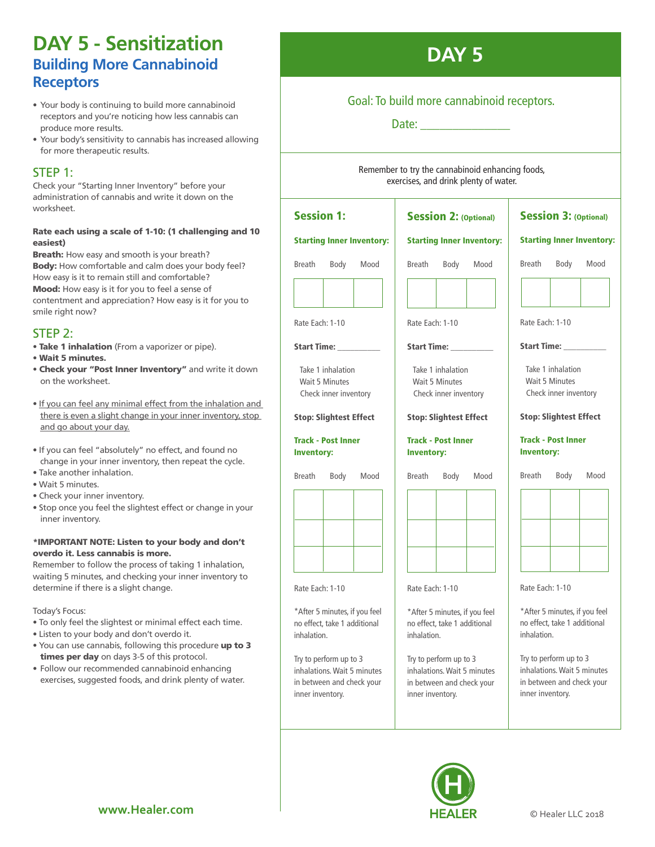### **DAY 5 - Sensitization Building More Cannabinoid Receptors**

- Your body is continuing to build more cannabinoid receptors and you're noticing how less cannabis can produce more results.
- Your body's sensitivity to cannabis has increased allowing for more therapeutic results.

### STEP 1:

Check your "Starting Inner Inventory" before your administration of cannabis and write it down on the worksheet.

### Rate each using a scale of 1-10: (1 challenging and 10 easiest)

**Breath:** How easy and smooth is your breath? Body: How comfortable and calm does your body feel? How easy is it to remain still and comfortable? Mood: How easy is it for you to feel a sense of contentment and appreciation? How easy is it for you to smile right now?

.<br>F

.<br>F

no effect, take 1 additional

Try to perform up to 3 inhalations. Wait 5 minutes in between and check your

inner inventory.

inhalation.

### STEP 2:

- Take 1 inhalation (From a vaporizer or pipe).
- Wait 5 minutes.
- Check your "Post Inner Inventory" and write it down on the worksheet.
- If you can feel any minimal effect from the inhalation and there is even a slight change in your inner inventory, stop and go about your day.
- If you can feel "absolutely" no effect, and found no change in your inner inventory, then repeat the cycle.
- Take another inhalation.
- Wait 5 minutes.
- Check your inner inventory.
- Stop once you feel the slightest effect or change in your inner inventory.

#### \*IMPORTANT NOTE: Listen to your body and don't overdo it. Less cannabis is more.

Remember to follow the process of taking 1 inhalation, waiting 5 minutes, and checking your inner inventory to determine if there is a slight change.

Today's Focus:

- To only feel the slightest or minimal effect each time.
- Listen to your body and don't overdo it.
- You can use cannabis, following this procedure up to 3 times per day on days 3-5 of this protocol.
- Follow our recommended cannabinoid enhancing exercises, suggested foods, and drink plenty of water.



### Goal: To build more cannabinoid receptors.

Date:

Remember to try the cannabinoid enhancing foods, exercises, and drink plenty of water.

#### Session 1: Starting Inner Inventory: Breath Body Mood Rate Each: 1-10 Start Time: Take 1 inhalation Wait 5 Minutes Check inner inventory Stop: Slightest Effect Track - Post Inner Inventory: Breath Body Mood Rate Each: 1-10 \*After 5 minutes, if you feel Session 2: (Optional) Starting Inner Inventory: Breath Body Mood .<br>F Rate Each: 1-10 Start Time: Take 1 inhalation Wait 5 Minutes Check inner inventory Stop: Slightest Effect Track - Post Inner Inventory: Breath Body Mood .<br>T Rate Each: 1-10 \*After 5 minutes, if you feel Session 3: (Optional) Starting Inner Inventory: Breath Body Mood . Rate Each: 1-10 Start Time: \_\_\_\_\_\_\_\_\_\_ Take 1 inhalation Wait 5 Minutes Check inner inventory Stop: Slightest Effect Track - Post Inner Inventory: Breath Body Mood  $\overline{r}$ Rate Each: 1-10

no effect, take 1 additional

Try to perform up to 3 inhalations. Wait 5 minutes in between and check your

inner inventory.

inhalation.

\*After 5 minutes, if you feel no effect, take 1 additional inhalation.

Try to perform up to 3 inhalations. Wait 5 minutes in between and check your inner inventory.